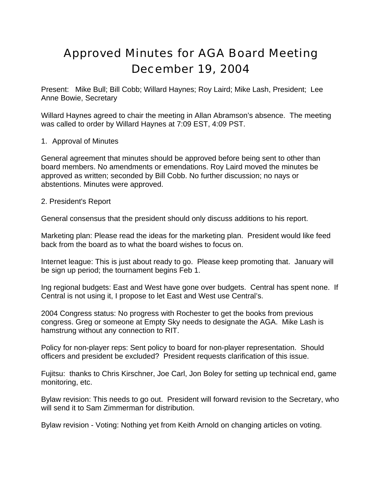# Approved Minutes for AGA Board Meeting December 19, 2004

Present: Mike Bull; Bill Cobb; Willard Haynes; Roy Laird; Mike Lash, President; Lee Anne Bowie, Secretary

Willard Haynes agreed to chair the meeting in Allan Abramson's absence. The meeting was called to order by Willard Haynes at 7:09 EST, 4:09 PST.

### 1. Approval of Minutes

General agreement that minutes should be approved before being sent to other than board members. No amendments or emendations. Roy Laird moved the minutes be approved as written; seconded by Bill Cobb. No further discussion; no nays or abstentions. Minutes were approved.

#### 2. President's Report

General consensus that the president should only discuss additions to his report.

Marketing plan: Please read the ideas for the marketing plan. President would like feed back from the board as to what the board wishes to focus on.

Internet league: This is just about ready to go. Please keep promoting that. January will be sign up period; the tournament begins Feb 1.

Ing regional budgets: East and West have gone over budgets. Central has spent none. If Central is not using it, I propose to let East and West use Central's.

2004 Congress status: No progress with Rochester to get the books from previous congress. Greg or someone at Empty Sky needs to designate the AGA. Mike Lash is hamstrung without any connection to RIT.

Policy for non-player reps: Sent policy to board for non-player representation. Should officers and president be excluded? President requests clarification of this issue.

Fujitsu: thanks to Chris Kirschner, Joe Carl, Jon Boley for setting up technical end, game monitoring, etc.

Bylaw revision: This needs to go out. President will forward revision to the Secretary, who will send it to Sam Zimmerman for distribution.

Bylaw revision - Voting: Nothing yet from Keith Arnold on changing articles on voting.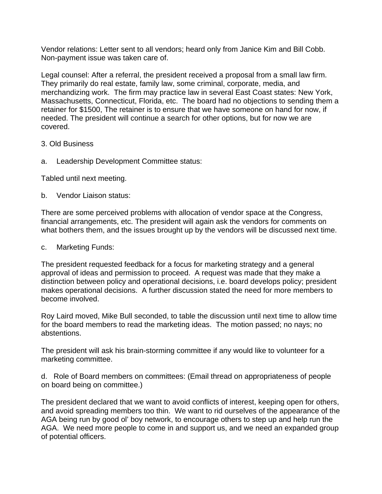Vendor relations: Letter sent to all vendors; heard only from Janice Kim and Bill Cobb. Non-payment issue was taken care of.

Legal counsel: After a referral, the president received a proposal from a small law firm. They primarily do real estate, family law, some criminal, corporate, media, and merchandizing work. The firm may practice law in several East Coast states: New York, Massachusetts, Connecticut, Florida, etc. The board had no objections to sending them a retainer for \$1500, The retainer is to ensure that we have someone on hand for now, if needed. The president will continue a search for other options, but for now we are covered.

- 3. Old Business
- a. Leadership Development Committee status:

Tabled until next meeting.

b. Vendor Liaison status:

There are some perceived problems with allocation of vendor space at the Congress, financial arrangements, etc. The president will again ask the vendors for comments on what bothers them, and the issues brought up by the vendors will be discussed next time.

#### c. Marketing Funds:

The president requested feedback for a focus for marketing strategy and a general approval of ideas and permission to proceed. A request was made that they make a distinction between policy and operational decisions, i.e. board develops policy; president makes operational decisions. A further discussion stated the need for more members to become involved.

Roy Laird moved, Mike Bull seconded, to table the discussion until next time to allow time for the board members to read the marketing ideas. The motion passed; no nays; no abstentions.

The president will ask his brain-storming committee if any would like to volunteer for a marketing committee.

d. Role of Board members on committees: (Email thread on appropriateness of people on board being on committee.)

The president declared that we want to avoid conflicts of interest, keeping open for others, and avoid spreading members too thin. We want to rid ourselves of the appearance of the AGA being run by good ol' boy network, to encourage others to step up and help run the AGA. We need more people to come in and support us, and we need an expanded group of potential officers.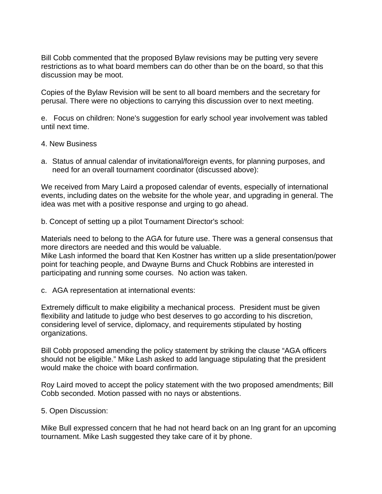Bill Cobb commented that the proposed Bylaw revisions may be putting very severe restrictions as to what board members can do other than be on the board, so that this discussion may be moot.

Copies of the Bylaw Revision will be sent to all board members and the secretary for perusal. There were no objections to carrying this discussion over to next meeting.

e. Focus on children: None's suggestion for early school year involvement was tabled until next time.

- 4. New Business
- a. Status of annual calendar of invitational/foreign events, for planning purposes, and need for an overall tournament coordinator (discussed above):

We received from Mary Laird a proposed calendar of events, especially of international events, including dates on the website for the whole year, and upgrading in general. The idea was met with a positive response and urging to go ahead.

b. Concept of setting up a pilot Tournament Director's school:

Materials need to belong to the AGA for future use. There was a general consensus that more directors are needed and this would be valuable.

Mike Lash informed the board that Ken Kostner has written up a slide presentation/power point for teaching people, and Dwayne Burns and Chuck Robbins are interested in participating and running some courses. No action was taken.

c. AGA representation at international events:

Extremely difficult to make eligibility a mechanical process. President must be given flexibility and latitude to judge who best deserves to go according to his discretion, considering level of service, diplomacy, and requirements stipulated by hosting organizations.

Bill Cobb proposed amending the policy statement by striking the clause "AGA officers should not be eligible." Mike Lash asked to add language stipulating that the president would make the choice with board confirmation.

Roy Laird moved to accept the policy statement with the two proposed amendments; Bill Cobb seconded. Motion passed with no nays or abstentions.

5. Open Discussion:

Mike Bull expressed concern that he had not heard back on an Ing grant for an upcoming tournament. Mike Lash suggested they take care of it by phone.